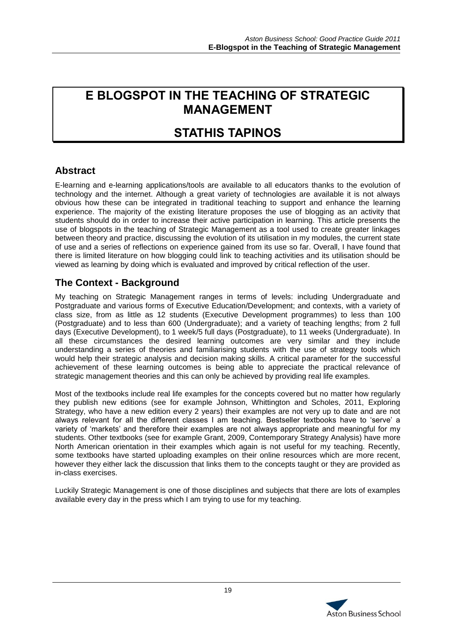# **E BLOGSPOT IN THE TEACHING OF STRATEGIC MANAGEMENT**

# **STATHIS TAPINOS**

## **Abstract**

E-learning and e-learning applications/tools are available to all educators thanks to the evolution of technology and the internet. Although a great variety of technologies are available it is not always obvious how these can be integrated in traditional teaching to support and enhance the learning experience. The majority of the existing literature proposes the use of blogging as an activity that students should do in order to increase their active participation in learning. This article presents the use of blogspots in the teaching of Strategic Management as a tool used to create greater linkages between theory and practice, discussing the evolution of its utilisation in my modules, the current state of use and a series of reflections on experience gained from its use so far. Overall, I have found that there is limited literature on how blogging could link to teaching activities and its utilisation should be viewed as learning by doing which is evaluated and improved by critical reflection of the user.

## **The Context - Background**

My teaching on Strategic Management ranges in terms of levels: including Undergraduate and Postgraduate and various forms of Executive Education/Development; and contexts, with a variety of class size, from as little as 12 students (Executive Development programmes) to less than 100 (Postgraduate) and to less than 600 (Undergraduate); and a variety of teaching lengths; from 2 full days (Executive Development), to 1 week/5 full days (Postgraduate), to 11 weeks (Undergraduate). In all these circumstances the desired learning outcomes are very similar and they include understanding a series of theories and familiarising students with the use of strategy tools which would help their strategic analysis and decision making skills. A critical parameter for the successful achievement of these learning outcomes is being able to appreciate the practical relevance of strategic management theories and this can only be achieved by providing real life examples.

Most of the textbooks include real life examples for the concepts covered but no matter how regularly they publish new editions (see for example Johnson, Whittington and Scholes, 2011, Exploring Strategy, who have a new edition every 2 years) their examples are not very up to date and are not always relevant for all the different classes I am teaching. Bestseller textbooks have to 'serve' a variety of 'markets' and therefore their examples are not always appropriate and meaningful for my students. Other textbooks (see for example Grant, 2009, Contemporary Strategy Analysis) have more North American orientation in their examples which again is not useful for my teaching. Recently, some textbooks have started uploading examples on their online resources which are more recent, however they either lack the discussion that links them to the concepts taught or they are provided as in-class exercises.

Luckily Strategic Management is one of those disciplines and subjects that there are lots of examples available every day in the press which I am trying to use for my teaching.

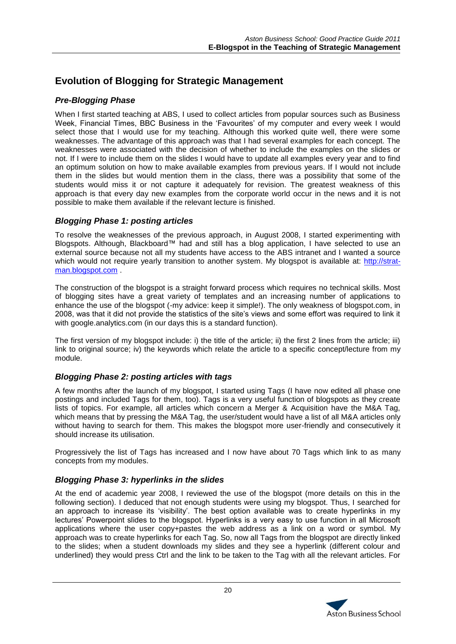# **Evolution of Blogging for Strategic Management**

#### *Pre-Blogging Phase*

When I first started teaching at ABS. I used to collect articles from popular sources such as Business Week, Financial Times, BBC Business in the 'Favourites' of my computer and every week I would select those that I would use for my teaching. Although this worked quite well, there were some weaknesses. The advantage of this approach was that I had several examples for each concept. The weaknesses were associated with the decision of whether to include the examples on the slides or not. If I were to include them on the slides I would have to update all examples every year and to find an optimum solution on how to make available examples from previous years. If I would not include them in the slides but would mention them in the class, there was a possibility that some of the students would miss it or not capture it adequately for revision. The greatest weakness of this approach is that every day new examples from the corporate world occur in the news and it is not possible to make them available if the relevant lecture is finished.

#### *Blogging Phase 1: posting articles*

To resolve the weaknesses of the previous approach, in August 2008, I started experimenting with Blogspots. Although, Blackboard™ had and still has a blog application, I have selected to use an external source because not all my students have access to the ABS intranet and I wanted a source which would not require yearly transition to another system. My blogspot is available at: [http://strat](http://strat-man.blogspot.com/)[man.blogspot.com](http://strat-man.blogspot.com/) .

The construction of the blogspot is a straight forward process which requires no technical skills. Most of blogging sites have a great variety of templates and an increasing number of applications to enhance the use of the blogspot (-my advice: keep it simple!). The only weakness of blogspot.com, in 2008, was that it did not provide the statistics of the site's views and some effort was required to link it with google.analytics.com (in our days this is a standard function).

The first version of my blogspot include: i) the title of the article; ii) the first 2 lines from the article; iii) link to original source; iv) the keywords which relate the article to a specific concept/lecture from my module.

#### *Blogging Phase 2: posting articles with tags*

A few months after the launch of my blogspot, I started using Tags (I have now edited all phase one postings and included Tags for them, too). Tags is a very useful function of blogspots as they create lists of topics. For example, all articles which concern a Merger & Acquisition have the M&A Tag, which means that by pressing the M&A Tag, the user/student would have a list of all M&A articles only without having to search for them. This makes the blogspot more user-friendly and consecutively it should increase its utilisation.

Progressively the list of Tags has increased and I now have about 70 Tags which link to as many concepts from my modules.

#### *Blogging Phase 3: hyperlinks in the slides*

At the end of academic year 2008, I reviewed the use of the blogspot (more details on this in the following section). I deduced that not enough students were using my blogspot. Thus, I searched for an approach to increase its 'visibility'. The best option available was to create hyperlinks in my lectures' Powerpoint slides to the blogspot. Hyperlinks is a very easy to use function in all Microsoft applications where the user copy+pastes the web address as a link on a word or symbol. My approach was to create hyperlinks for each Tag. So, now all Tags from the blogspot are directly linked to the slides; when a student downloads my slides and they see a hyperlink (different colour and underlined) they would press Ctrl and the link to be taken to the Tag with all the relevant articles. For